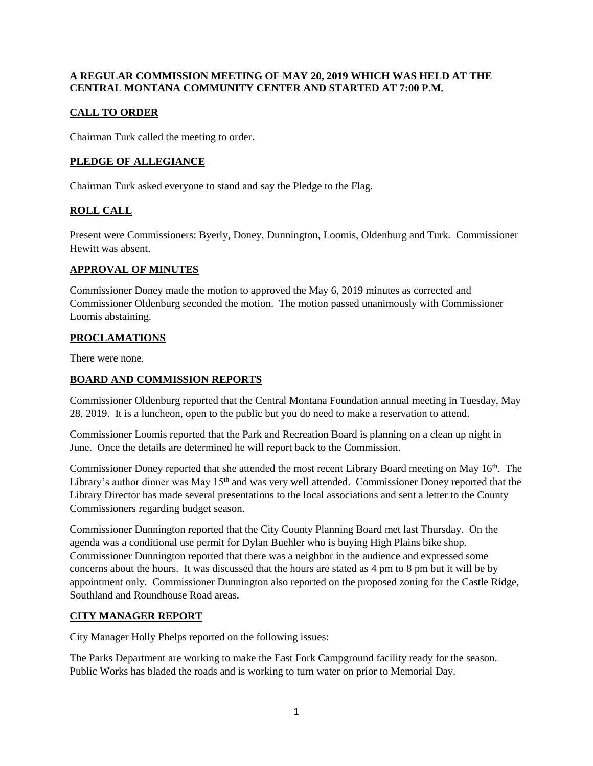### **A REGULAR COMMISSION MEETING OF MAY 20, 2019 WHICH WAS HELD AT THE CENTRAL MONTANA COMMUNITY CENTER AND STARTED AT 7:00 P.M.**

# **CALL TO ORDER**

Chairman Turk called the meeting to order.

# **PLEDGE OF ALLEGIANCE**

Chairman Turk asked everyone to stand and say the Pledge to the Flag.

# **ROLL CALL**

Present were Commissioners: Byerly, Doney, Dunnington, Loomis, Oldenburg and Turk. Commissioner Hewitt was absent.

### **APPROVAL OF MINUTES**

Commissioner Doney made the motion to approved the May 6, 2019 minutes as corrected and Commissioner Oldenburg seconded the motion. The motion passed unanimously with Commissioner Loomis abstaining.

# **PROCLAMATIONS**

There were none.

# **BOARD AND COMMISSION REPORTS**

Commissioner Oldenburg reported that the Central Montana Foundation annual meeting in Tuesday, May 28, 2019. It is a luncheon, open to the public but you do need to make a reservation to attend.

Commissioner Loomis reported that the Park and Recreation Board is planning on a clean up night in June. Once the details are determined he will report back to the Commission.

Commissioner Doney reported that she attended the most recent Library Board meeting on May 16<sup>th</sup>. The Library's author dinner was May  $15<sup>th</sup>$  and was very well attended. Commissioner Doney reported that the Library Director has made several presentations to the local associations and sent a letter to the County Commissioners regarding budget season.

Commissioner Dunnington reported that the City County Planning Board met last Thursday. On the agenda was a conditional use permit for Dylan Buehler who is buying High Plains bike shop. Commissioner Dunnington reported that there was a neighbor in the audience and expressed some concerns about the hours. It was discussed that the hours are stated as 4 pm to 8 pm but it will be by appointment only. Commissioner Dunnington also reported on the proposed zoning for the Castle Ridge, Southland and Roundhouse Road areas.

## **CITY MANAGER REPORT**

City Manager Holly Phelps reported on the following issues:

The Parks Department are working to make the East Fork Campground facility ready for the season. Public Works has bladed the roads and is working to turn water on prior to Memorial Day.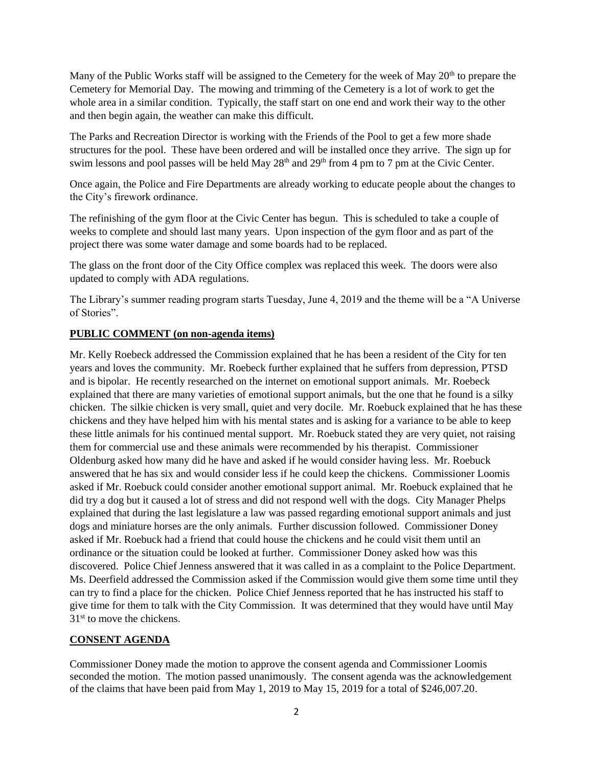Many of the Public Works staff will be assigned to the Cemetery for the week of May  $20<sup>th</sup>$  to prepare the Cemetery for Memorial Day. The mowing and trimming of the Cemetery is a lot of work to get the whole area in a similar condition. Typically, the staff start on one end and work their way to the other and then begin again, the weather can make this difficult.

The Parks and Recreation Director is working with the Friends of the Pool to get a few more shade structures for the pool. These have been ordered and will be installed once they arrive. The sign up for swim lessons and pool passes will be held May 28<sup>th</sup> and 29<sup>th</sup> from 4 pm to 7 pm at the Civic Center.

Once again, the Police and Fire Departments are already working to educate people about the changes to the City's firework ordinance.

The refinishing of the gym floor at the Civic Center has begun. This is scheduled to take a couple of weeks to complete and should last many years. Upon inspection of the gym floor and as part of the project there was some water damage and some boards had to be replaced.

The glass on the front door of the City Office complex was replaced this week. The doors were also updated to comply with ADA regulations.

The Library's summer reading program starts Tuesday, June 4, 2019 and the theme will be a "A Universe of Stories".

### **PUBLIC COMMENT (on non-agenda items)**

Mr. Kelly Roebeck addressed the Commission explained that he has been a resident of the City for ten years and loves the community. Mr. Roebeck further explained that he suffers from depression, PTSD and is bipolar. He recently researched on the internet on emotional support animals. Mr. Roebeck explained that there are many varieties of emotional support animals, but the one that he found is a silky chicken. The silkie chicken is very small, quiet and very docile. Mr. Roebuck explained that he has these chickens and they have helped him with his mental states and is asking for a variance to be able to keep these little animals for his continued mental support. Mr. Roebuck stated they are very quiet, not raising them for commercial use and these animals were recommended by his therapist. Commissioner Oldenburg asked how many did he have and asked if he would consider having less. Mr. Roebuck answered that he has six and would consider less if he could keep the chickens. Commissioner Loomis asked if Mr. Roebuck could consider another emotional support animal. Mr. Roebuck explained that he did try a dog but it caused a lot of stress and did not respond well with the dogs. City Manager Phelps explained that during the last legislature a law was passed regarding emotional support animals and just dogs and miniature horses are the only animals. Further discussion followed. Commissioner Doney asked if Mr. Roebuck had a friend that could house the chickens and he could visit them until an ordinance or the situation could be looked at further. Commissioner Doney asked how was this discovered. Police Chief Jenness answered that it was called in as a complaint to the Police Department. Ms. Deerfield addressed the Commission asked if the Commission would give them some time until they can try to find a place for the chicken. Police Chief Jenness reported that he has instructed his staff to give time for them to talk with the City Commission. It was determined that they would have until May 31<sup>st</sup> to move the chickens.

### **CONSENT AGENDA**

Commissioner Doney made the motion to approve the consent agenda and Commissioner Loomis seconded the motion. The motion passed unanimously. The consent agenda was the acknowledgement of the claims that have been paid from May 1, 2019 to May 15, 2019 for a total of \$246,007.20.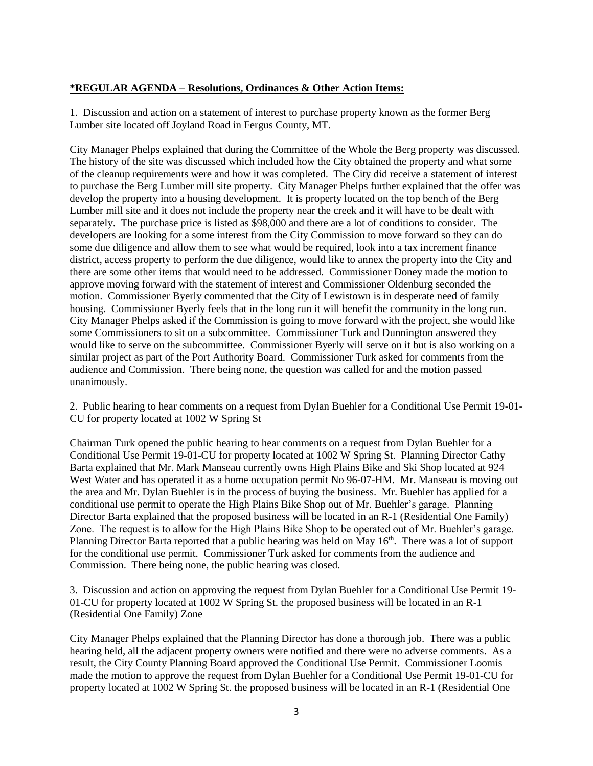### **\*REGULAR AGENDA – Resolutions, Ordinances & Other Action Items:**

1. Discussion and action on a statement of interest to purchase property known as the former Berg Lumber site located off Joyland Road in Fergus County, MT.

City Manager Phelps explained that during the Committee of the Whole the Berg property was discussed. The history of the site was discussed which included how the City obtained the property and what some of the cleanup requirements were and how it was completed. The City did receive a statement of interest to purchase the Berg Lumber mill site property. City Manager Phelps further explained that the offer was develop the property into a housing development. It is property located on the top bench of the Berg Lumber mill site and it does not include the property near the creek and it will have to be dealt with separately. The purchase price is listed as \$98,000 and there are a lot of conditions to consider. The developers are looking for a some interest from the City Commission to move forward so they can do some due diligence and allow them to see what would be required, look into a tax increment finance district, access property to perform the due diligence, would like to annex the property into the City and there are some other items that would need to be addressed. Commissioner Doney made the motion to approve moving forward with the statement of interest and Commissioner Oldenburg seconded the motion. Commissioner Byerly commented that the City of Lewistown is in desperate need of family housing. Commissioner Byerly feels that in the long run it will benefit the community in the long run. City Manager Phelps asked if the Commission is going to move forward with the project, she would like some Commissioners to sit on a subcommittee. Commissioner Turk and Dunnington answered they would like to serve on the subcommittee. Commissioner Byerly will serve on it but is also working on a similar project as part of the Port Authority Board. Commissioner Turk asked for comments from the audience and Commission. There being none, the question was called for and the motion passed unanimously.

2. Public hearing to hear comments on a request from Dylan Buehler for a Conditional Use Permit 19-01- CU for property located at 1002 W Spring St

Chairman Turk opened the public hearing to hear comments on a request from Dylan Buehler for a Conditional Use Permit 19-01-CU for property located at 1002 W Spring St. Planning Director Cathy Barta explained that Mr. Mark Manseau currently owns High Plains Bike and Ski Shop located at 924 West Water and has operated it as a home occupation permit No 96-07-HM. Mr. Manseau is moving out the area and Mr. Dylan Buehler is in the process of buying the business. Mr. Buehler has applied for a conditional use permit to operate the High Plains Bike Shop out of Mr. Buehler's garage. Planning Director Barta explained that the proposed business will be located in an R-1 (Residential One Family) Zone. The request is to allow for the High Plains Bike Shop to be operated out of Mr. Buehler's garage. Planning Director Barta reported that a public hearing was held on May 16<sup>th</sup>. There was a lot of support for the conditional use permit. Commissioner Turk asked for comments from the audience and Commission. There being none, the public hearing was closed.

3. Discussion and action on approving the request from Dylan Buehler for a Conditional Use Permit 19- 01-CU for property located at 1002 W Spring St. the proposed business will be located in an R-1 (Residential One Family) Zone

City Manager Phelps explained that the Planning Director has done a thorough job. There was a public hearing held, all the adjacent property owners were notified and there were no adverse comments. As a result, the City County Planning Board approved the Conditional Use Permit. Commissioner Loomis made the motion to approve the request from Dylan Buehler for a Conditional Use Permit 19-01-CU for property located at 1002 W Spring St. the proposed business will be located in an R-1 (Residential One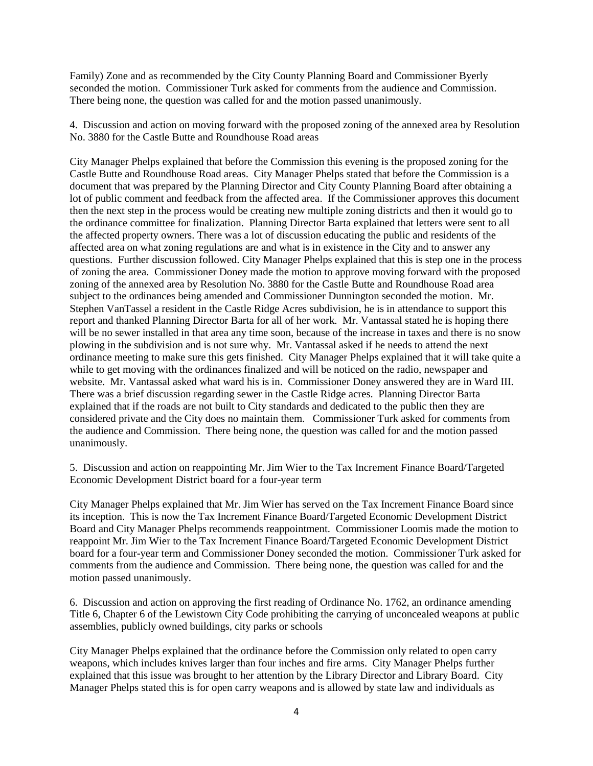Family) Zone and as recommended by the City County Planning Board and Commissioner Byerly seconded the motion. Commissioner Turk asked for comments from the audience and Commission. There being none, the question was called for and the motion passed unanimously.

4. Discussion and action on moving forward with the proposed zoning of the annexed area by Resolution No. 3880 for the Castle Butte and Roundhouse Road areas

City Manager Phelps explained that before the Commission this evening is the proposed zoning for the Castle Butte and Roundhouse Road areas. City Manager Phelps stated that before the Commission is a document that was prepared by the Planning Director and City County Planning Board after obtaining a lot of public comment and feedback from the affected area. If the Commissioner approves this document then the next step in the process would be creating new multiple zoning districts and then it would go to the ordinance committee for finalization. Planning Director Barta explained that letters were sent to all the affected property owners. There was a lot of discussion educating the public and residents of the affected area on what zoning regulations are and what is in existence in the City and to answer any questions. Further discussion followed. City Manager Phelps explained that this is step one in the process of zoning the area. Commissioner Doney made the motion to approve moving forward with the proposed zoning of the annexed area by Resolution No. 3880 for the Castle Butte and Roundhouse Road area subject to the ordinances being amended and Commissioner Dunnington seconded the motion. Mr. Stephen VanTassel a resident in the Castle Ridge Acres subdivision, he is in attendance to support this report and thanked Planning Director Barta for all of her work. Mr. Vantassal stated he is hoping there will be no sewer installed in that area any time soon, because of the increase in taxes and there is no snow plowing in the subdivision and is not sure why. Mr. Vantassal asked if he needs to attend the next ordinance meeting to make sure this gets finished. City Manager Phelps explained that it will take quite a while to get moving with the ordinances finalized and will be noticed on the radio, newspaper and website. Mr. Vantassal asked what ward his is in. Commissioner Doney answered they are in Ward III. There was a brief discussion regarding sewer in the Castle Ridge acres. Planning Director Barta explained that if the roads are not built to City standards and dedicated to the public then they are considered private and the City does no maintain them. Commissioner Turk asked for comments from the audience and Commission. There being none, the question was called for and the motion passed unanimously.

5. Discussion and action on reappointing Mr. Jim Wier to the Tax Increment Finance Board/Targeted Economic Development District board for a four-year term

City Manager Phelps explained that Mr. Jim Wier has served on the Tax Increment Finance Board since its inception. This is now the Tax Increment Finance Board/Targeted Economic Development District Board and City Manager Phelps recommends reappointment. Commissioner Loomis made the motion to reappoint Mr. Jim Wier to the Tax Increment Finance Board/Targeted Economic Development District board for a four-year term and Commissioner Doney seconded the motion. Commissioner Turk asked for comments from the audience and Commission. There being none, the question was called for and the motion passed unanimously.

6. Discussion and action on approving the first reading of Ordinance No. 1762, an ordinance amending Title 6, Chapter 6 of the Lewistown City Code prohibiting the carrying of unconcealed weapons at public assemblies, publicly owned buildings, city parks or schools

City Manager Phelps explained that the ordinance before the Commission only related to open carry weapons, which includes knives larger than four inches and fire arms. City Manager Phelps further explained that this issue was brought to her attention by the Library Director and Library Board. City Manager Phelps stated this is for open carry weapons and is allowed by state law and individuals as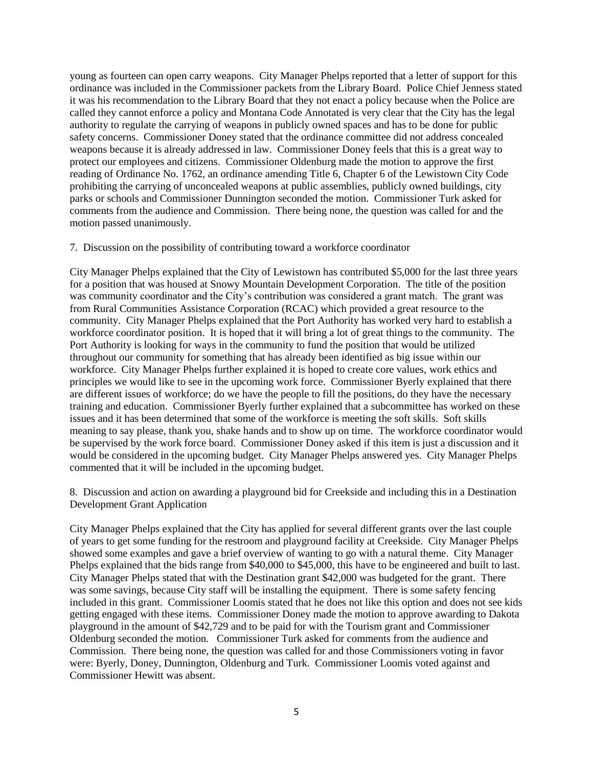young as fourteen can open carry weapons. City Manager Phelps reported that a letter of support for this ordinance was included in the Commissioner packets from the Library Board. Police Chief Jenness stated it was his recommendation to the Library Board that they not enact a policy because when the Police are called they cannot enforce a policy and Montana Code Annotated is very clear that the City has the legal authority to regulate the carrying of weapons in publicly owned spaces and has to be done for public safety concerns. Commissioner Doney stated that the ordinance committee did not address concealed weapons because it is already addressed in law. Commissioner Doney feels that this is a great way to protect our employees and citizens. Commissioner Oldenburg made the motion to approve the first reading of Ordinance No. 1762, an ordinance amending Title 6, Chapter 6 of the Lewistown City Code prohibiting the carrying of unconcealed weapons at public assemblies, publicly owned buildings, city parks or schools and Commissioner Dunnington seconded the motion. Commissioner Turk asked for comments from the audience and Commission. There being none, the question was called for and the motion passed unanimously.

#### 7. Discussion on the possibility of contributing toward a workforce coordinator

City Manager Phelps explained that the City of Lewistown has contributed \$5,000 for the last three years for a position that was housed at Snowy Mountain Development Corporation. The title of the position was community coordinator and the City's contribution was considered a grant match. The grant was from Rural Communities Assistance Corporation (RCAC) which provided a great resource to the community. City Manager Phelps explained that the Port Authority has worked very hard to establish a workforce coordinator position. It is hoped that it will bring a lot of great things to the community. The Port Authority is looking for ways in the community to fund the position that would be utilized throughout our community for something that has already been identified as big issue within our workforce. City Manager Phelps further explained it is hoped to create core values, work ethics and principles we would like to see in the upcoming work force. Commissioner Byerly explained that there are different issues of workforce; do we have the people to fill the positions, do they have the necessary training and education. Commissioner Byerly further explained that a subcommittee has worked on these issues and it has been determined that some of the workforce is meeting the soft skills. Soft skills meaning to say please, thank you, shake hands and to show up on time. The workforce coordinator would be supervised by the work force board. Commissioner Doney asked if this item is just a discussion and it would be considered in the upcoming budget. City Manager Phelps answered yes. City Manager Phelps commented that it will be included in the upcoming budget.

8. Discussion and action on awarding a playground bid for Creekside and including this in a Destination Development Grant Application

City Manager Phelps explained that the City has applied for several different grants over the last couple of years to get some funding for the restroom and playground facility at Creekside. City Manager Phelps showed some examples and gave a brief overview of wanting to go with a natural theme. City Manager Phelps explained that the bids range from \$40,000 to \$45,000, this have to be engineered and built to last. City Manager Phelps stated that with the Destination grant \$42,000 was budgeted for the grant. There was some savings, because City staff will be installing the equipment. There is some safety fencing included in this grant. Commissioner Loomis stated that he does not like this option and does not see kids getting engaged with these items. Commissioner Doney made the motion to approve awarding to Dakota playground in the amount of \$42,729 and to be paid for with the Tourism grant and Commissioner Oldenburg seconded the motion. Commissioner Turk asked for comments from the audience and Commission. There being none, the question was called for and those Commissioners voting in favor were: Byerly, Doney, Dunnington, Oldenburg and Turk. Commissioner Loomis voted against and Commissioner Hewitt was absent.